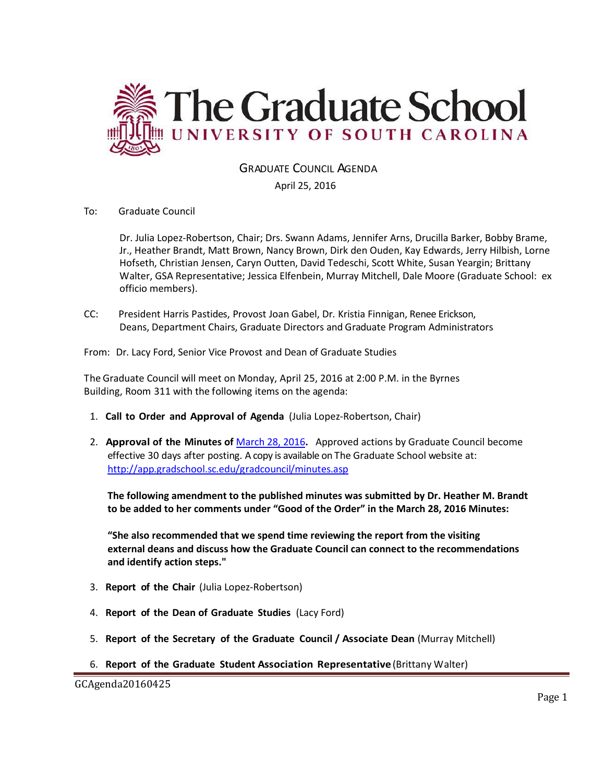

GRADUATE COUNCIL AGENDA

April 25, 2016

## To: Graduate Council

Dr. Julia Lopez-Robertson, Chair; Drs. Swann Adams, Jennifer Arns, Drucilla Barker, Bobby Brame, Jr., Heather Brandt, Matt Brown, Nancy Brown, Dirk den Ouden, Kay Edwards, Jerry Hilbish, Lorne Hofseth, Christian Jensen, Caryn Outten, David Tedeschi, Scott White, Susan Yeargin; Brittany Walter, GSA Representative; Jessica Elfenbein, Murray Mitchell, Dale Moore (Graduate School: ex officio members).

CC: President Harris Pastides, Provost Joan Gabel, Dr. Kristia Finnigan, Renee Erickson, Deans, Department Chairs, Graduate Directors and Graduate Program Administrators

From: Dr. Lacy Ford, Senior Vice Provost and Dean of Graduate Studies

The Graduate Council will meet on Monday, April 25, 2016 at 2:00 P.M. in the Byrnes Building, Room 311 with the following items on the agenda:

- 1. **Call to Order and Approval of Agenda** (Julia Lopez-Robertson, Chair)
- 2. **Approval of the Minutes of** [March 28, 2016](http://gradschool.sc.edu/facstaff/gradcouncil/2015/GCMINUTES20160328WB2.pdf)**.** Approved actions by Graduate Council become effective 30 days after posting. A copy is available on The Graduate School website at: <http://app.gradschool.sc.edu/gradcouncil/minutes.asp>

**The following amendment to the published minutes was submitted by Dr. Heather M. Brandt to be added to her comments under "Good of the Order" in the March 28, 2016 Minutes:** 

**"She also recommended that we spend time reviewing the report from the visiting external deans and discuss how the Graduate Council can connect to the recommendations and identify action steps."**

- 3. **Report of the Chair** (Julia Lopez-Robertson)
- 4. **Report of the Dean of Graduate Studies** (Lacy Ford)
- 5. **Report of the Secretary of the Graduate Council / Associate Dean** (Murray Mitchell)
- 6. **Report of the Graduate Student Association Representative** (Brittany Walter)

GCAgenda20160425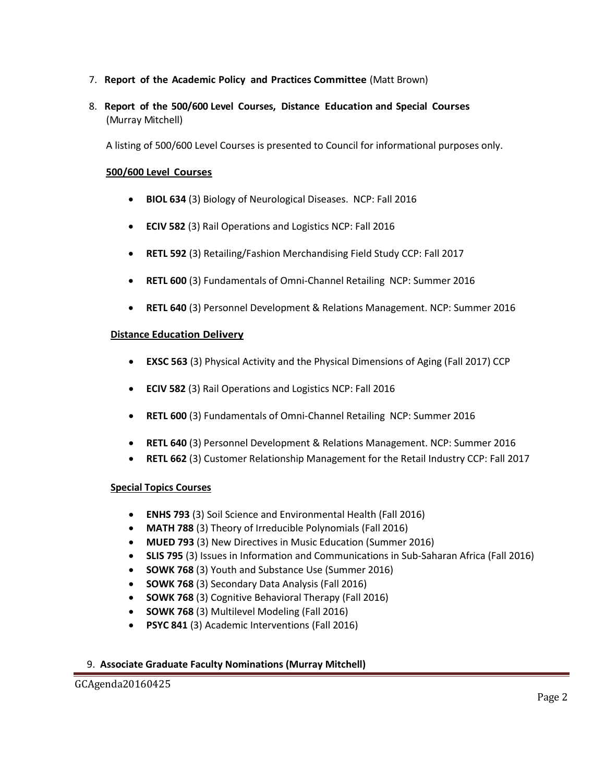- 7. **Report of the Academic Policy and Practices Committee** (Matt Brown)
- 8. **Report of the 500/600 Level Courses, Distance Education and Special Courses** (Murray Mitchell)

A listing of 500/600 Level Courses is presented to Council for informational purposes only.

## **500/600 Level Courses**

- **BIOL 634** (3) Biology of Neurological Diseases. NCP: Fall 2016
- **ECIV 582** (3) Rail Operations and Logistics NCP: Fall 2016
- **RETL 592** (3) Retailing/Fashion Merchandising Field Study CCP: Fall 2017
- **RETL 600** (3) Fundamentals of Omni-Channel Retailing NCP: Summer 2016
- **RETL 640** (3) Personnel Development & Relations Management. NCP: Summer 2016

#### **Distance Education Delivery**

- **EXSC 563** (3) Physical Activity and the Physical Dimensions of Aging (Fall 2017) CCP
- **ECIV 582** (3) Rail Operations and Logistics NCP: Fall 2016
- **RETL 600** (3) Fundamentals of Omni-Channel Retailing NCP: Summer 2016
- **RETL 640** (3) Personnel Development & Relations Management. NCP: Summer 2016
- **RETL 662** (3) Customer Relationship Management for the Retail Industry CCP: Fall 2017

#### **Special Topics Courses**

- **ENHS 793** (3) Soil Science and Environmental Health (Fall 2016)
- **MATH 788** (3) Theory of Irreducible Polynomials (Fall 2016)
- **MUED 793** (3) New Directives in Music Education (Summer 2016)
- **SLIS 795** (3) Issues in Information and Communications in Sub-Saharan Africa (Fall 2016)
- **SOWK 768** (3) Youth and Substance Use (Summer 2016)
- **SOWK 768** (3) Secondary Data Analysis (Fall 2016)
- **SOWK 768** (3) Cognitive Behavioral Therapy (Fall 2016)
- **SOWK 768** (3) Multilevel Modeling (Fall 2016)
- **PSYC 841** (3) Academic Interventions (Fall 2016)

#### 9. **Associate Graduate Faculty Nominations (Murray Mitchell)**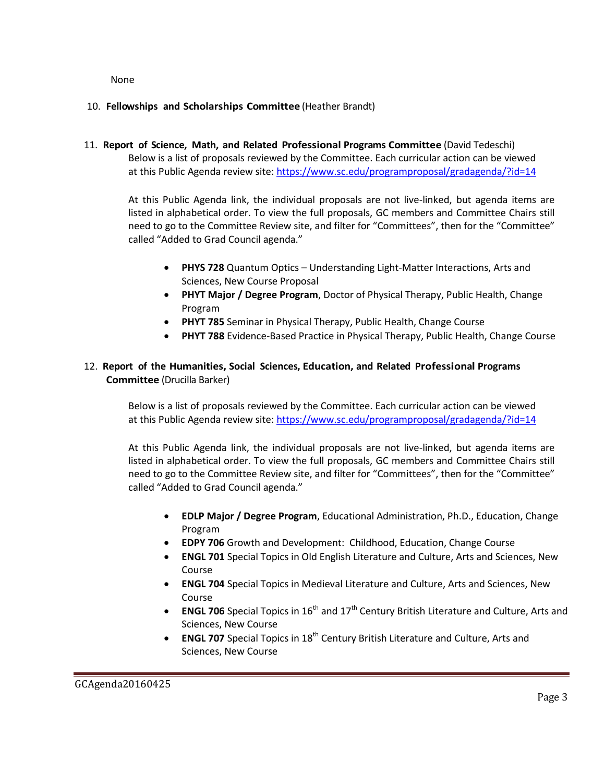None

## 10. **Fellowships and Scholarships Committee** (Heather Brandt)

11. **Report of Science, Math, and Related Professional Programs Committee** (David Tedeschi) Below is a list of proposals reviewed by the Committee. Each curricular action can be viewed at this Public Agenda review site:<https://www.sc.edu/programproposal/gradagenda/?id=14>

At this Public Agenda link, the individual proposals are not live-linked, but agenda items are listed in alphabetical order. To view the full proposals, GC members and Committee Chairs still need to go to the Committee Review site, and filter for "Committees", then for the "Committee" called "Added to Grad Council agenda."

- **PHYS 728** Quantum Optics Understanding Light-Matter Interactions, Arts and Sciences, New Course Proposal
- **PHYT Major / Degree Program**, Doctor of Physical Therapy, Public Health, Change Program
- **PHYT 785** Seminar in Physical Therapy, Public Health, Change Course
- **PHYT 788** Evidence-Based Practice in Physical Therapy, Public Health, Change Course

# 12. **Report of the Humanities, Social Sciences, Education, and Related Professional Programs Committee** (Drucilla Barker)

Below is a list of proposals reviewed by the Committee. Each curricular action can be viewed at this Public Agenda review site:<https://www.sc.edu/programproposal/gradagenda/?id=14>

At this Public Agenda link, the individual proposals are not live-linked, but agenda items are listed in alphabetical order. To view the full proposals, GC members and Committee Chairs still need to go to the Committee Review site, and filter for "Committees", then for the "Committee" called "Added to Grad Council agenda."

- **EDLP Major / Degree Program**, Educational Administration, Ph.D., Education, Change Program
- **EDPY 706** Growth and Development: Childhood, Education, Change Course
- **ENGL 701** Special Topics in Old English Literature and Culture, Arts and Sciences, New Course
- **ENGL 704** Special Topics in Medieval Literature and Culture, Arts and Sciences, New Course
- **ENGL 706** Special Topics in 16<sup>th</sup> and 17<sup>th</sup> Century British Literature and Culture, Arts and Sciences, New Course
- **ENGL 707** Special Topics in 18<sup>th</sup> Century British Literature and Culture, Arts and Sciences, New Course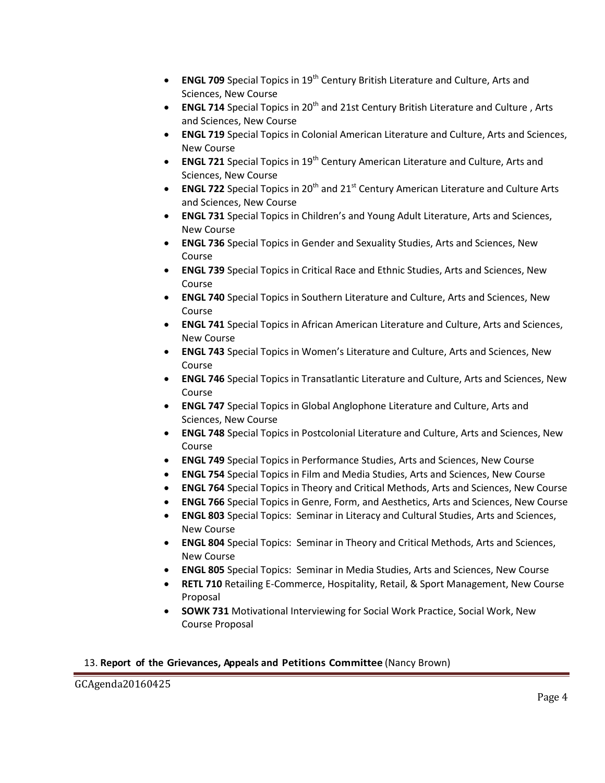- **ENGL 709** Special Topics in 19<sup>th</sup> Century British Literature and Culture, Arts and Sciences, New Course
- **ENGL 714** Special Topics in 20<sup>th</sup> and 21st Century British Literature and Culture, Arts and Sciences, New Course
- **ENGL 719** Special Topics in Colonial American Literature and Culture, Arts and Sciences, New Course
- **ENGL 721** Special Topics in 19<sup>th</sup> Century American Literature and Culture, Arts and Sciences, New Course
- **ENGL 722** Special Topics in 20<sup>th</sup> and 21<sup>st</sup> Century American Literature and Culture Arts and Sciences, New Course
- **ENGL 731** Special Topics in Children's and Young Adult Literature, Arts and Sciences, New Course
- **ENGL 736** Special Topics in Gender and Sexuality Studies, Arts and Sciences, New Course
- **ENGL 739** Special Topics in Critical Race and Ethnic Studies, Arts and Sciences, New Course
- **ENGL 740** Special Topics in Southern Literature and Culture, Arts and Sciences, New Course
- **ENGL 741** Special Topics in African American Literature and Culture, Arts and Sciences, New Course
- **ENGL 743** Special Topics in Women's Literature and Culture, Arts and Sciences, New Course
- **ENGL 746** Special Topics in Transatlantic Literature and Culture, Arts and Sciences, New Course
- **ENGL 747** Special Topics in Global Anglophone Literature and Culture, Arts and Sciences, New Course
- **ENGL 748** Special Topics in Postcolonial Literature and Culture, Arts and Sciences, New Course
- **ENGL 749** Special Topics in Performance Studies, Arts and Sciences, New Course
- **ENGL 754** Special Topics in Film and Media Studies, Arts and Sciences, New Course
- **ENGL 764** Special Topics in Theory and Critical Methods, Arts and Sciences, New Course
- **ENGL 766** Special Topics in Genre, Form, and Aesthetics, Arts and Sciences, New Course
- **ENGL 803** Special Topics: Seminar in Literacy and Cultural Studies, Arts and Sciences, New Course
- **ENGL 804** Special Topics: Seminar in Theory and Critical Methods, Arts and Sciences, New Course
- **ENGL 805** Special Topics: Seminar in Media Studies, Arts and Sciences, New Course
- **RETL 710** Retailing E-Commerce, Hospitality, Retail, & Sport Management, New Course Proposal
- **SOWK 731** Motivational Interviewing for Social Work Practice, Social Work, New Course Proposal

## 13. **Report of the Grievances, Appeals and Petitions Committee** (Nancy Brown)

GCAgenda20160425